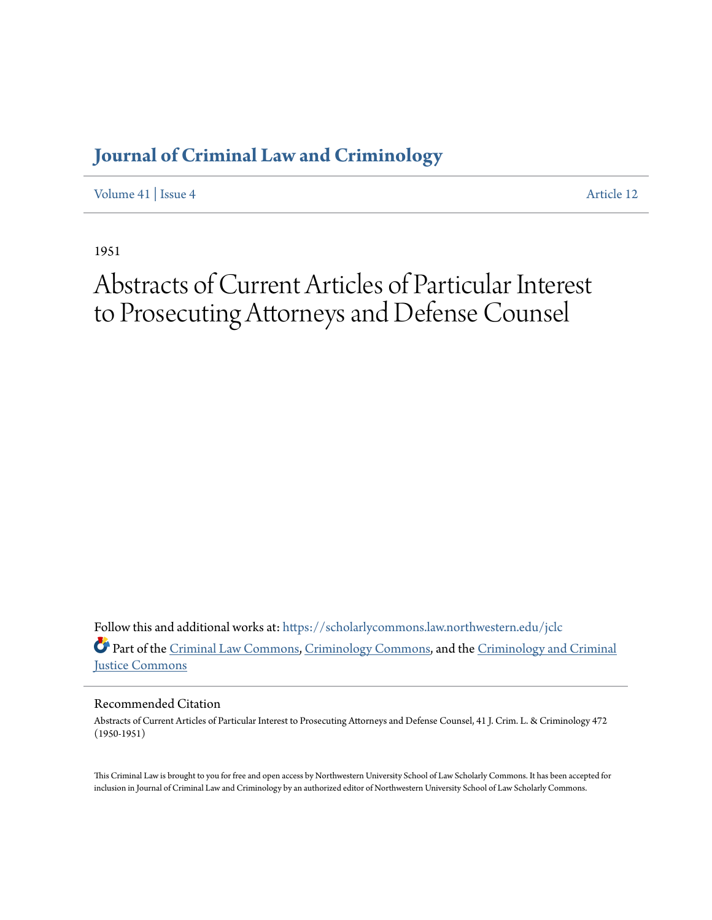## **[Journal of Criminal Law and Criminology](https://scholarlycommons.law.northwestern.edu/jclc?utm_source=scholarlycommons.law.northwestern.edu%2Fjclc%2Fvol41%2Fiss4%2F12&utm_medium=PDF&utm_campaign=PDFCoverPages)**

[Volume 41](https://scholarlycommons.law.northwestern.edu/jclc/vol41?utm_source=scholarlycommons.law.northwestern.edu%2Fjclc%2Fvol41%2Fiss4%2F12&utm_medium=PDF&utm_campaign=PDFCoverPages) | [Issue 4](https://scholarlycommons.law.northwestern.edu/jclc/vol41/iss4?utm_source=scholarlycommons.law.northwestern.edu%2Fjclc%2Fvol41%2Fiss4%2F12&utm_medium=PDF&utm_campaign=PDFCoverPages) [Article 12](https://scholarlycommons.law.northwestern.edu/jclc/vol41/iss4/12?utm_source=scholarlycommons.law.northwestern.edu%2Fjclc%2Fvol41%2Fiss4%2F12&utm_medium=PDF&utm_campaign=PDFCoverPages)

1951

## Abstracts of Current Articles of Particular Interest to Prosecuting Attorneys and Defense Counsel

Follow this and additional works at: [https://scholarlycommons.law.northwestern.edu/jclc](https://scholarlycommons.law.northwestern.edu/jclc?utm_source=scholarlycommons.law.northwestern.edu%2Fjclc%2Fvol41%2Fiss4%2F12&utm_medium=PDF&utm_campaign=PDFCoverPages) Part of the [Criminal Law Commons](http://network.bepress.com/hgg/discipline/912?utm_source=scholarlycommons.law.northwestern.edu%2Fjclc%2Fvol41%2Fiss4%2F12&utm_medium=PDF&utm_campaign=PDFCoverPages), [Criminology Commons](http://network.bepress.com/hgg/discipline/417?utm_source=scholarlycommons.law.northwestern.edu%2Fjclc%2Fvol41%2Fiss4%2F12&utm_medium=PDF&utm_campaign=PDFCoverPages), and the [Criminology and Criminal](http://network.bepress.com/hgg/discipline/367?utm_source=scholarlycommons.law.northwestern.edu%2Fjclc%2Fvol41%2Fiss4%2F12&utm_medium=PDF&utm_campaign=PDFCoverPages) [Justice Commons](http://network.bepress.com/hgg/discipline/367?utm_source=scholarlycommons.law.northwestern.edu%2Fjclc%2Fvol41%2Fiss4%2F12&utm_medium=PDF&utm_campaign=PDFCoverPages)

Recommended Citation

Abstracts of Current Articles of Particular Interest to Prosecuting Attorneys and Defense Counsel, 41 J. Crim. L. & Criminology 472 (1950-1951)

This Criminal Law is brought to you for free and open access by Northwestern University School of Law Scholarly Commons. It has been accepted for inclusion in Journal of Criminal Law and Criminology by an authorized editor of Northwestern University School of Law Scholarly Commons.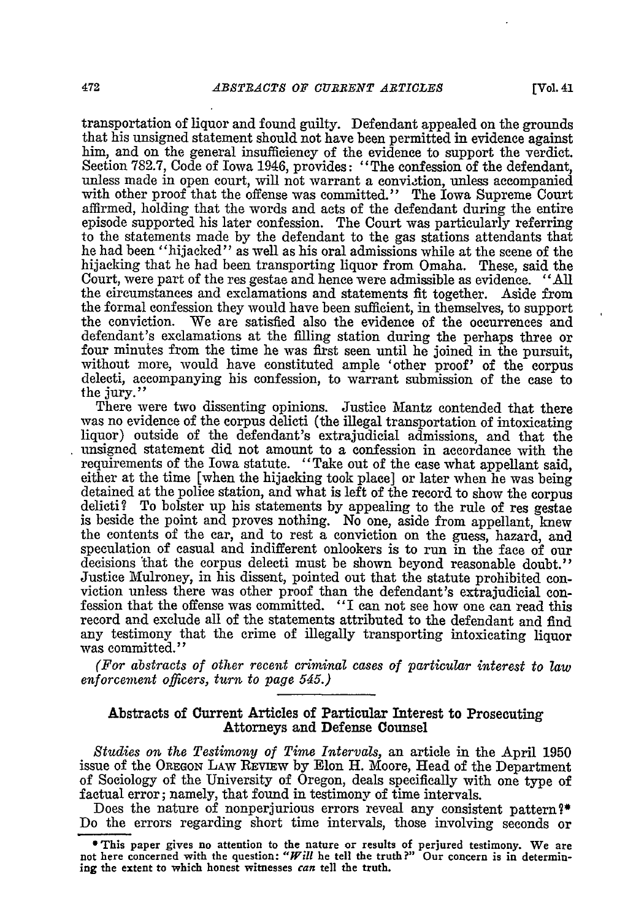**[Vol. 41**

transportation of liquor and found guilty. Defendant appealed on the grounds that his unsigned statement should not have been permitted in evidence against him, and on the general insufficiency of the evidence to support the verdict. Section 782.7, Code of Iowa 1946, provides: "The confession of the defendant, unless made in open court, will not warrant a conviction, unless accompanied with other proof that the offense was committed." The Iowa Supreme Court affirmed, holding that the words and acts of the defendant during the entire episode supported his later confession. The Court was particularly referring to the statements made by the defendant to the gas stations attendants that he had been "hijacked" as well as his oral admissions while at the scene of the hijacking that he had been transporting liquor from Omaha. These, said the Court, were part of the res gestae and hence were admissible as evidence. "All the circumstances and exclamations and statements fit together. Aside from the formal confession they would have been sufficient, in themselves, to support the conviction. We are satisfied also the evidence of the occurrences and defendant's exclamations at the filling station during the perhaps three or four minutes from the time he was first seen until he joined in the pursuit, without more, would have constituted ample 'other proof' of the corpus delecti, accompanying his confession, to warrant submission of the case to the jury."

There were two dissenting opinions. Justice Mantz contended that there was no evidence of the corpus delicti (the illegal transportation of intoxicating liquor) outside of the defendant's extrajudicial admissions, and that the unsigned statement did not amount to a confession in accordance with the requirements of the Iowa statute. "Take out of the case what appellant said, either at the time [when the hijacking took place] or later when he was being detained at the police station, and what is left of the record to show the corpus delicti? To bolster up his statements by appealing to the rule of res gestae is beside the point and proves nothing. No one, aside from appellant, knew the contents of the car, and to rest a conviction on the guess, hazard, and speculation of casual and indifferent onlookers is to run in the face of our decisions 'that the corpus delecti must be shown beyond reasonable doubt." Justice Mulroney, in his dissent, pointed out that the statute prohibited conviction unless there was other proof than the defendant's extrajudicial confession that the offense was committed. "I can not see how one can read this record and exclude all of the statements attributed to the defendant and find any testimony that the crime of illegally transporting intoxicating liquor was committed."

*(For abstracts of other recent criminal cases of particular interest to law enforcement officers, turn to page 545.)*

## Abstracts of Current Articles of Particular Interest to Prosecuting Attorneys and Defense Counsel

*Studies on the Testimony of Time Intervals,* an article in the April 1950 issue of the OREGON LAW REViEW by Elon H. Moore, Head of the Department of Sociology of the University of Oregon, deals specifically with one type of factual error; namely, that found in testimony of time intervals.

Does the nature of nonperjurious errors reveal any consistent pattern?\* Do the errors regarding short time intervals, those involving seconds or

<sup>\*</sup>This paper gives **no attention to the** nature **or** results of perjured testimony. We **are not here concerned with the question:** *"Will* **he tell the** truth?" Our concern is in determin**ing the extent to which honest witnesses can tell the truth.**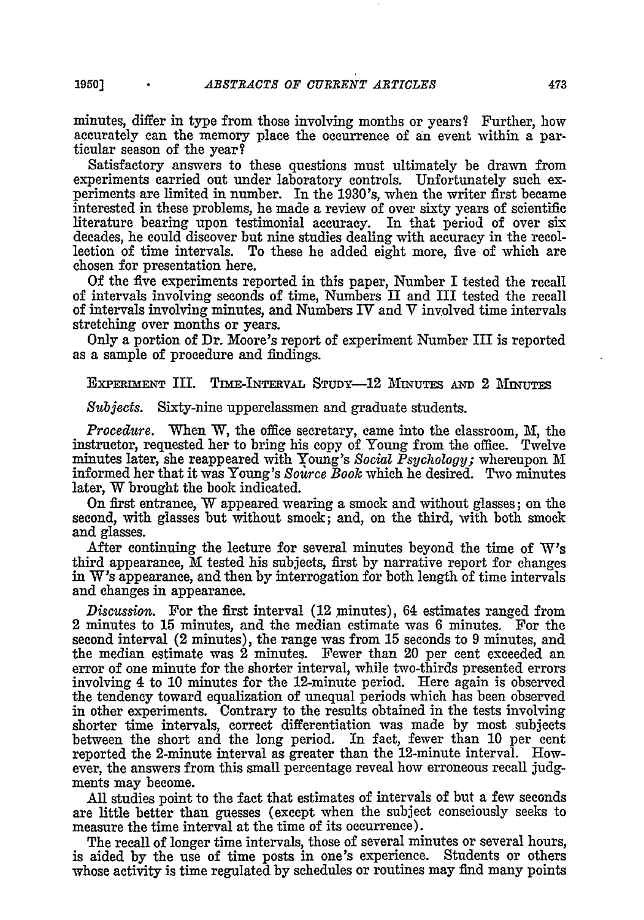minutes, differ in type from those involving months or years? Further, how accurately can the memory place the occurrence of an event within a particular season of the year?

Satisfactory answers to these questions must ultimately be drawn from experiments carried out under laboratory controls. Unfortunately such experiments are limited in number. In the 1930's, when the writer first became interested in these problems, he made a review of over sixty years of scientific literature bearing upon testimonial accuracy. In that period of over six decades, he could discover but nine studies dealing with accuracy in the recollection of time intervals. To these he added eight more, five of which are chosen for presentation here.

Of the five experiments reported in this paper, Number I tested the recall of intervals involving seconds of time, Numbers II and III tested the recall of intervals involving minutes, and Numbers IV and V involved time intervals stretching over months or years.

Only a portion of Dr. Moore's report of experiment Number III is reported as a sample of procedure and findings.

EXPERIMENT III. TIME-INTERVAL STUDY-12 MINUTES AND 2 MINUTES

*Subjects.* Sixty-nine upperclassmen and graduate students.

*Procedure.* When W, the office secretary, came into the classroom, M, the instructor, requested her to bring his copy of Young from the office. Twelve minutes later, she reappeared with Young's Social Psychology; whereupon M informed her that it was Young's *Soarce Book* which he desired. Two minutes later, W brought the book indicated.

On first entrance, W appeared wearing a smock and without glasses; on the second, with glasses but without smock; and, on the third, with both smock and glasses.

After continuing the lecture for several minutes beyond the time **of W's** third appearance, M tested his subjects, first **by** narrative report for changes in **W's** appearance, and then **by** interrogation for both length of time intervals and changes in appearance.

*Discussion.* For the first interval (12 ninutes), 64 estimates ranged from 2 minutes to **15** minutes, and the median estimate was **6** minutes. For the second interval (2 minutes), the range was from **15** seconds to **9** minutes, and the median estimate was 2 minutes. Fewer than 20 per cent exceeded an error of one minute for the shorter interval, while two-thirds presented errors involving 4 to **10** minutes for the 12-minute period. Here again is observed the tendency toward equalization of unequal periods which has been observed in other experiments. Contrary to the results obtained in the tests involving shorter time intervals, correct differentiation was made **by** most subjects between the short and the long period. In fact, fewer than **10** per cent reported the 2-minute interval as greater than the 12-minute interval. However, the answers from this small percentage reveal how erroneous recall **judg**ments may become.

**All** studies point to the fact that estimates of intervals of but a few seconds are little better than guesses (except when the subject consciously seeks to measure the time interval at the time of its occurrence).

The recall of longer time intervals, those of several minutes or several hours, is aided **by** the use of time posts in one's experience. Students or others whose activity is time regulated **by** schedules or routines may find many points